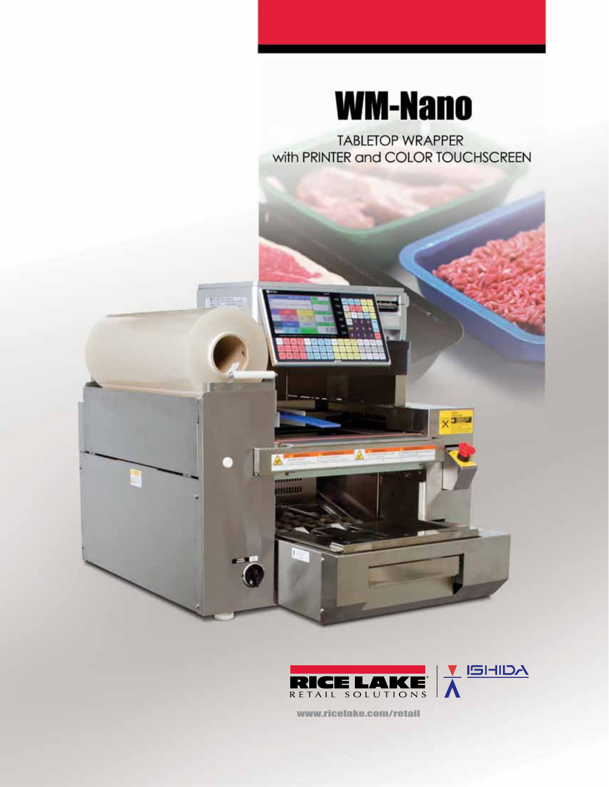

**TABLETOP WRAPPER** with PRINTER and COLOR TOUCHSCREEN